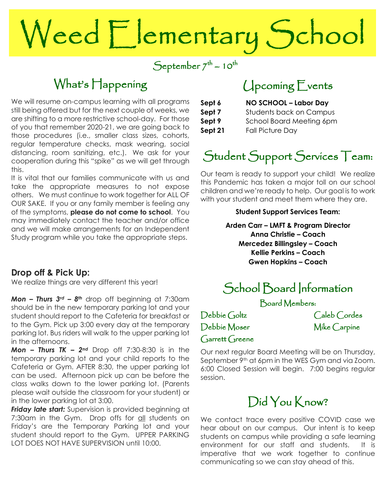# Weed Elementary School

 $\text{September 7}^{\text{th}} \sim 10^{\text{th}}$ 

## What's Happening

We will resume on-campus learning with all programs are shifting to a more restrictive school-day. For those still being offered but for the next couple of weeks, we of you that remember 2020-21, we are going back to those procedures (i.e., smaller class sizes, cohorts, regular temperature checks, mask wearing, social distancing, room sanitizing, etc.). We ask for your cooperation during this "spike" as we will get through this.

It is vital that our families communicate with us and take the appropriate measures to not expose others. We must continue to work together for ALL OF OUR SAKE. If you or any family member is feeling any of the symptoms, **please do not come to school**. You may immediately contact the teacher and/or office and we will make arrangements for an Independent Study program while you take the appropriate steps.

#### **Drop off & Pick Up:**

We realize things are very different this year!

 parking lot. Bus riders will walk to the upper parking lot *Mon – Thurs 3rd – 8th* drop off beginning at 7:30am should be in the new temporary parking lot and your student should report to the Cafeteria for breakfast or to the Gym. Pick up 3:00 every day at the temporary in the afternoons.

 please wait outside the classroom for your student) or *Mon – Thurs TK – 2nd* Drop off 7:30-8:30 is in the temporary parking lot and your child reports to the Cafeteria or Gym. AFTER 8:30, the upper parking lot can be used. Afternoon pick up can be before the class walks down to the lower parking lot. (Parents in the lower parking lot at 3:00.

 *Friday late start:* Supervision is provided beginning at Friday's are the Temporary Parking lot and your student snould report to the Gym. UPPER P<br>LOT DOES NOT HAVE SUPERVISION until 10:00. 7:30am in the Gym. Drop offs for all students on student should report to the Gym. UPPER PARKING

## Upcoming Events

| Sept 6  | NO SCHOOL - Labor Day          |
|---------|--------------------------------|
| Sept 7  | <b>Students back on Campus</b> |
| Sept 9  | School Board Meeting 6pm       |
| Sept 21 | <b>Fall Picture Day</b>        |
|         |                                |

# Student Support Services Team:

Our team is ready to support your child! We realize this Pandemic has taken a major toll on our school children and we're ready to help. Our goal is to work with your student and meet them where they are.

#### **Student Support Services Team:**

**Arden Carr – LMFT & Program Director Anna Christie – Coach Mercedez Billingsley – Coach Kellie Perkins – Coach Gwen Hopkins – Coach**

## School Board Information

Board Members:

Debbie Moser Mike Carpine Garrett Greene

Debbie Goltz Caleb Cordes

Our next regular Board Meeting will be on Thursday, September 9<sup>th</sup> at 6pm in the WES Gym and via Zoom. 6:00 Closed Session will begin. 7:00 begins regular session.

## Did You Know?

We contact trace every positive COVID case we hear about on our campus. Our intent is to keep students on campus while providing a safe learning environment for our staff and students. It is imperative that we work together to continue communicating so we can stay ahead of this.